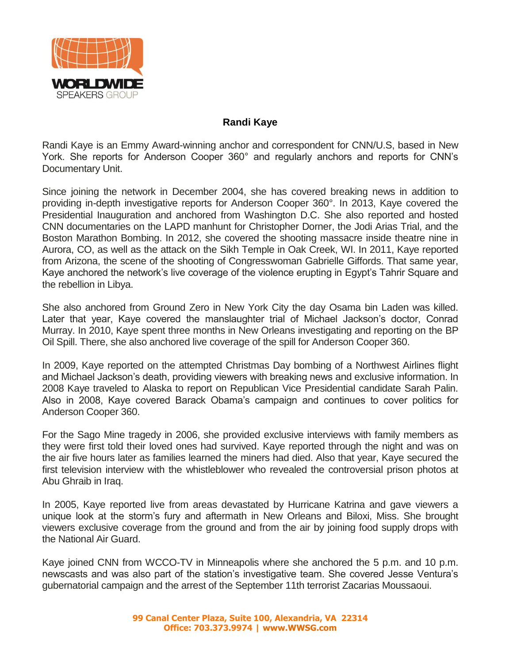

## **Randi Kaye**

Randi Kaye is an Emmy Award-winning anchor and correspondent for CNN/U.S, based in New York. She reports for Anderson Cooper 360° and regularly anchors and reports for CNN's Documentary Unit.

Since joining the network in December 2004, she has covered breaking news in addition to providing in-depth investigative reports for Anderson Cooper 360°. In 2013, Kaye covered the Presidential Inauguration and anchored from Washington D.C. She also reported and hosted CNN documentaries on the LAPD manhunt for Christopher Dorner, the Jodi Arias Trial, and the Boston Marathon Bombing. In 2012, she covered the shooting massacre inside theatre nine in Aurora, CO, as well as the attack on the Sikh Temple in Oak Creek, WI. In 2011, Kaye reported from Arizona, the scene of the shooting of Congresswoman Gabrielle Giffords. That same year, Kaye anchored the network's live coverage of the violence erupting in Egypt's Tahrir Square and the rebellion in Libya.

She also anchored from Ground Zero in New York City the day Osama bin Laden was killed. Later that year, Kaye covered the manslaughter trial of Michael Jackson's doctor, Conrad Murray. In 2010, Kaye spent three months in New Orleans investigating and reporting on the BP Oil Spill. There, she also anchored live coverage of the spill for Anderson Cooper 360.

In 2009, Kaye reported on the attempted Christmas Day bombing of a Northwest Airlines flight and Michael Jackson's death, providing viewers with breaking news and exclusive information. In 2008 Kaye traveled to Alaska to report on Republican Vice Presidential candidate Sarah Palin. Also in 2008, Kaye covered Barack Obama's campaign and continues to cover politics for Anderson Cooper 360.

For the Sago Mine tragedy in 2006, she provided exclusive interviews with family members as they were first told their loved ones had survived. Kaye reported through the night and was on the air five hours later as families learned the miners had died. Also that year, Kaye secured the first television interview with the whistleblower who revealed the controversial prison photos at Abu Ghraib in Iraq.

In 2005, Kaye reported live from areas devastated by Hurricane Katrina and gave viewers a unique look at the storm's fury and aftermath in New Orleans and Biloxi, Miss. She brought viewers exclusive coverage from the ground and from the air by joining food supply drops with the National Air Guard.

Kaye joined CNN from WCCO-TV in Minneapolis where she anchored the 5 p.m. and 10 p.m. newscasts and was also part of the station's investigative team. She covered Jesse Ventura's gubernatorial campaign and the arrest of the September 11th terrorist Zacarias Moussaoui.